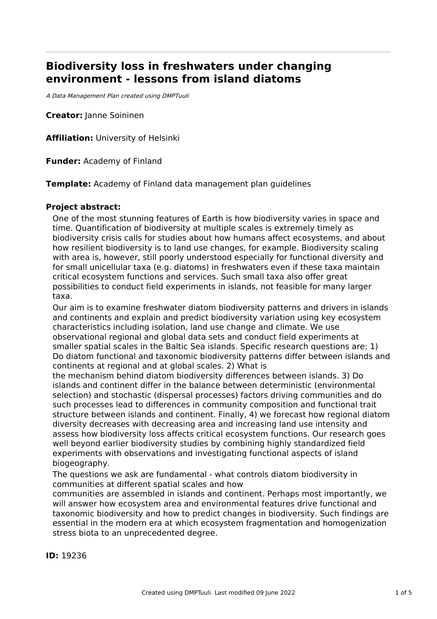# **Biodiversity loss in freshwaters under changing environment - lessons from island diatoms**

A Data Management Plan created using DMPTuuli

**Creator:** Janne Soininen

**Affiliation:** University of Helsinki

**Funder:** Academy of Finland

**Template:** Academy of Finland data management plan guidelines

# **Project abstract:**

One of the most stunning features of Earth is how biodiversity varies in space and time. Quantification of biodiversity at multiple scales is extremely timely as biodiversity crisis calls for studies about how humans affect ecosystems, and about how resilient biodiversity is to land use changes, for example. Biodiversity scaling with area is, however, still poorly understood especially for functional diversity and for small unicellular taxa (e.g. diatoms) in freshwaters even if these taxa maintain critical ecosystem functions and services. Such small taxa also offer great possibilities to conduct field experiments in islands, not feasible for many larger taxa.

Our aim is to examine freshwater diatom biodiversity patterns and drivers in islands and continents and explain and predict biodiversity variation using key ecosystem characteristics including isolation, land use change and climate. We use observational regional and global data sets and conduct field experiments at smaller spatial scales in the Baltic Sea islands. Specific research questions are: 1) Do diatom functional and taxonomic biodiversity patterns differ between islands and continents at regional and at global scales. 2) What is

the mechanism behind diatom biodiversity differences between islands. 3) Do islands and continent differ in the balance between deterministic (environmental selection) and stochastic (dispersal processes) factors driving communities and do such processes lead to differences in community composition and functional trait structure between islands and continent. Finally, 4) we forecast how regional diatom diversity decreases with decreasing area and increasing land use intensity and assess how biodiversity loss affects critical ecosystem functions. Our research goes well beyond earlier biodiversity studies by combining highly standardized field experiments with observations and investigating functional aspects of island biogeography.

The questions we ask are fundamental - what controls diatom biodiversity in communities at different spatial scales and how

communities are assembled in islands and continent. Perhaps most importantly, we will answer how ecosystem area and environmental features drive functional and taxonomic biodiversity and how to predict changes in biodiversity. Such findings are essential in the modern era at which ecosystem fragmentation and homogenization stress biota to an unprecedented degree.

**ID:** 19236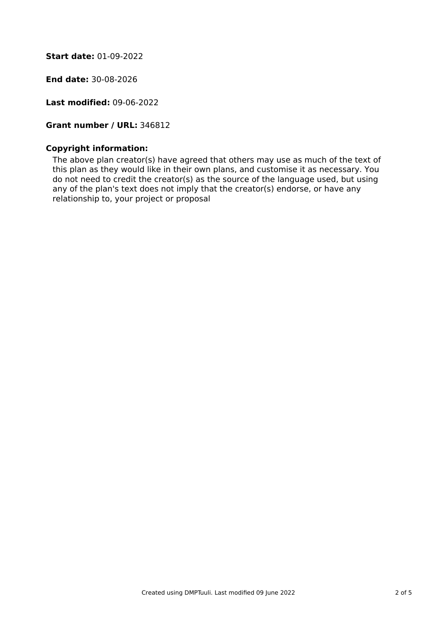**Start date:** 01-09-2022

**End date:** 30-08-2026

**Last modified:** 09-06-2022

**Grant number / URL:** 346812

# **Copyright information:**

The above plan creator(s) have agreed that others may use as much of the text of this plan as they would like in their own plans, and customise it as necessary. You do not need to credit the creator(s) as the source of the language used, but using any of the plan's text does not imply that the creator(s) endorse, or have any relationship to, your project or proposal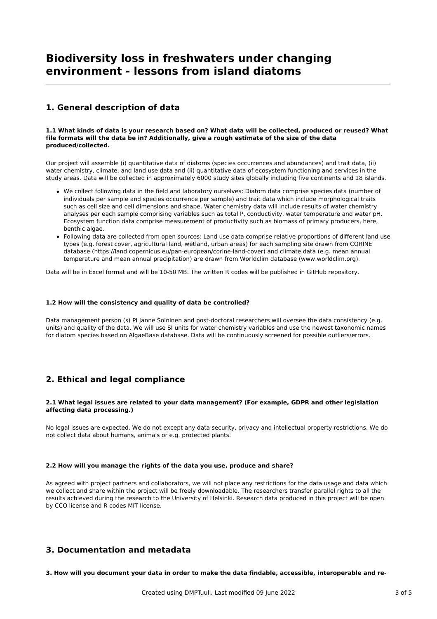# **Biodiversity loss in freshwaters under changing environment - lessons from island diatoms**

# **1. General description of data**

#### 1.1 What kinds of data is your research based on? What data will be collected, produced or reused? What **file formats will the data be in? Additionally, give a rough estimate of the size of the data produced/collected.**

Our project will assemble (i) quantitative data of diatoms (species occurrences and abundances) and trait data, (ii) water chemistry, climate, and land use data and (ii) quantitative data of ecosystem functioning and services in the study areas. Data will be collected in approximately 6000 study sites globally including five continents and 18 islands.

- We collect following data in the field and laboratory ourselves: Diatom data comprise species data (number of individuals per sample and species occurrence per sample) and trait data which include morphological traits such as cell size and cell dimensions and shape. Water chemistry data will include results of water chemistry analyses per each sample comprising variables such as total P, conductivity, water temperature and water pH. Ecosystem function data comprise measurement of productivity such as biomass of primary producers, here, benthic algae.
- Following data are collected from open sources: Land use data comprise relative proportions of different land use types (e.g. forest cover, agricultural land, wetland, urban areas) for each sampling site drawn from CORINE database (https://land.copernicus.eu/pan-european/corine-land-cover) and climate data (e.g. mean annual temperature and mean annual precipitation) are drawn from Worldclim database (www.worldclim.org).

Data will be in Excel format and will be 10-50 MB. The written R codes will be published in GitHub repository.

#### **1.2 How will the consistency and quality of data be controlled?**

Data management person (s) PI Janne Soininen and post-doctoral researchers will oversee the data consistency (e.g. units) and quality of the data. We will use SI units for water chemistry variables and use the newest taxonomic names for diatom species based on AlgaeBase database. Data will be continuously screened for possible outliers/errors.

# **2. Ethical and legal compliance**

#### **2.1 What legal issues are related to your data management? (For example, GDPR and other legislation affecting data processing.)**

No legal issues are expected. We do not except any data security, privacy and intellectual property restrictions. We do not collect data about humans, animals or e.g. protected plants.

#### **2.2 How will you manage the rights of the data you use, produce and share?**

As agreed with project partners and collaborators, we will not place any restrictions for the data usage and data which we collect and share within the project will be freely downloadable. The researchers transfer parallel rights to all the results achieved during the research to the University of Helsinki. Research data produced in this project will be open by CCO license and R codes MIT license.

### **3. Documentation and metadata**

3. How will you document your data in order to make the data findable, accessible, interoperable and re-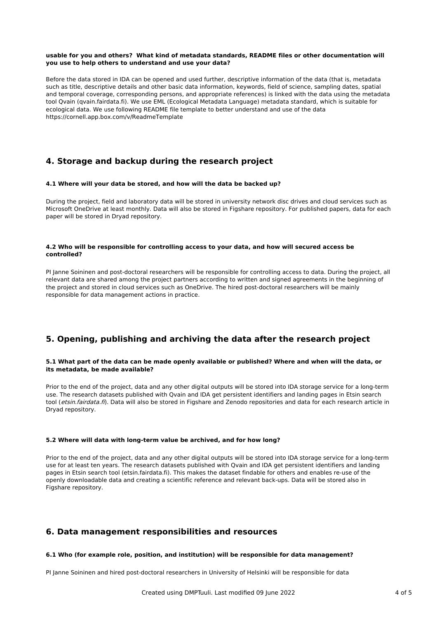#### **usable for you and others? What kind of metadata standards, README files or other documentation will you use to help others to understand and use your data?**

Before the data stored in IDA can be opened and used further, descriptive information of the data (that is, metadata such as title, descriptive details and other basic data information, keywords, field of science, sampling dates, spatial and temporal coverage, corresponding persons, and appropriate references) is linked with the data using the metadata tool Qvain (qvain.fairdata.fi). We use EML (Ecological Metadata Language) metadata standard, which is suitable for ecological data. We use following README file template to better understand and use of the data https://cornell.app.box.com/v/ReadmeTemplate

# **4. Storage and backup during the research project**

#### **4.1 Where will your data be stored, and how will the data be backed up?**

During the project, field and laboratory data will be stored in university network disc drives and cloud services such as Microsoft OneDrive at least monthly. Data will also be stored in Figshare repository. For published papers, data for each paper will be stored in Dryad repository.

#### **4.2 Who will be responsible for controlling access to your data, and how will secured access be controlled?**

PI Janne Soininen and post-doctoral researchers will be responsible for controlling access to data. During the project, all relevant data are shared among the project partners according to written and signed agreements in the beginning of the project and stored in cloud services such as OneDrive. The hired post-doctoral researchers will be mainly responsible for data management actions in practice.

# **5. Opening, publishing and archiving the data after the research project**

#### 5.1 What part of the data can be made openly available or published? Where and when will the data, or **its metadata, be made available?**

Prior to the end of the project, data and any other digital outputs will be stored into IDA storage service for a long-term use. The research datasets published with Qvain and IDA get persistent identifiers and landing pages in Etsin search tool (etsin.fairdata.fi). Data will also be stored in Figshare and Zenodo repositories and data for each research article in Dryad repository.

#### **5.2 Where will data with long-term value be archived, and for how long?**

Prior to the end of the project, data and any other digital outputs will be stored into IDA storage service for a long-term use for at least ten years. The research datasets published with Qvain and IDA get persistent identifiers and landing pages in Etsin search tool (etsin.fairdata.fi). This makes the dataset findable for others and enables re-use of the openly downloadable data and creating a scientific reference and relevant back-ups. Data will be stored also in Figshare repository.

# **6. Data management responsibilities and resources**

#### **6.1 Who (for example role, position, and institution) will be responsible for data management?**

PI Janne Soininen and hired post-doctoral researchers in University of Helsinki will be responsible for data